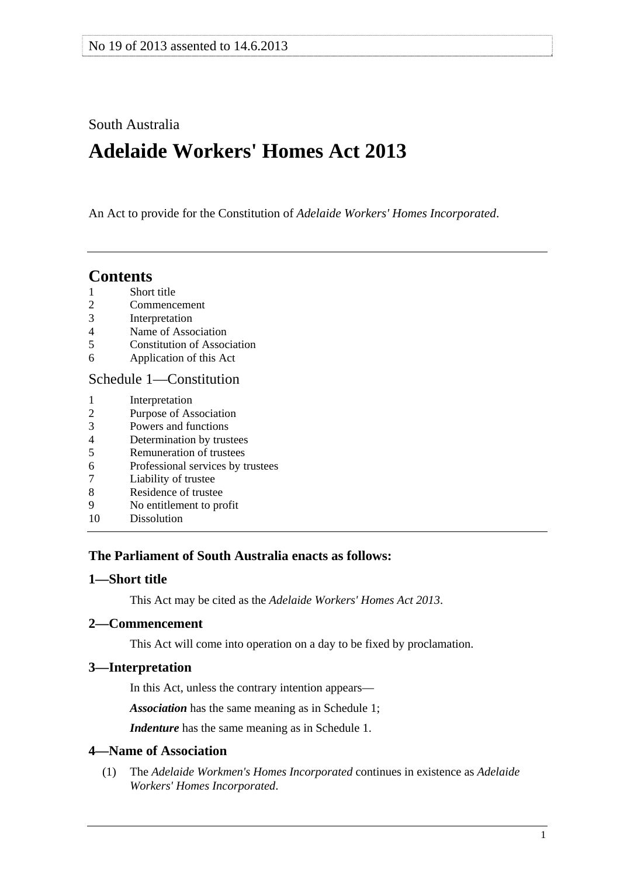# <span id="page-0-0"></span>South Australia

# **Adelaide Workers' Homes Act 2013**

An Act to provide for the Constitution of *Adelaide Workers' Homes Incorporated*.

# **Contents**

- [1 Short title](#page-0-0)
- [2 Commencement](#page-0-0)
- [3 Interpretation](#page-0-0)
- [4 Name of Association](#page-0-0)
- [5 Constitution of Association](#page-1-0)
- [6 Application of this Act](#page-1-0)

# [Schedule 1—Constitution](#page-1-0)

- [1 Interpretation](#page-1-0)
- [2 Purpose of Association](#page-1-0)
- [3 Powers and functions](#page-2-0)
- [4 Determination by trustees](#page-2-0)
- [5 Remuneration of trustees](#page-3-0)
- [6 Professional services by trustees](#page-3-0)
- [7 Liability of trustee](#page-3-0)
- [8 Residence of trustee](#page-3-0)
- [9 No entitlement to profit](#page-3-0)
- [10 Dissolution](#page-4-0)

# **The Parliament of South Australia enacts as follows:**

# **1—Short title**

This Act may be cited as the *Adelaide Workers' Homes Act 2013*.

# **2—Commencement**

This Act will come into operation on a day to be fixed by proclamation.

# **3—Interpretation**

In this Act, unless the contrary intention appears—

*Association* has the same meaning as in [Schedule 1;](#page-1-0)

*Indenture* has the same meaning as in [Schedule 1](#page-1-0).

# **4—Name of Association**

 (1) The *Adelaide Workmen's Homes Incorporated* continues in existence as *Adelaide Workers' Homes Incorporated*.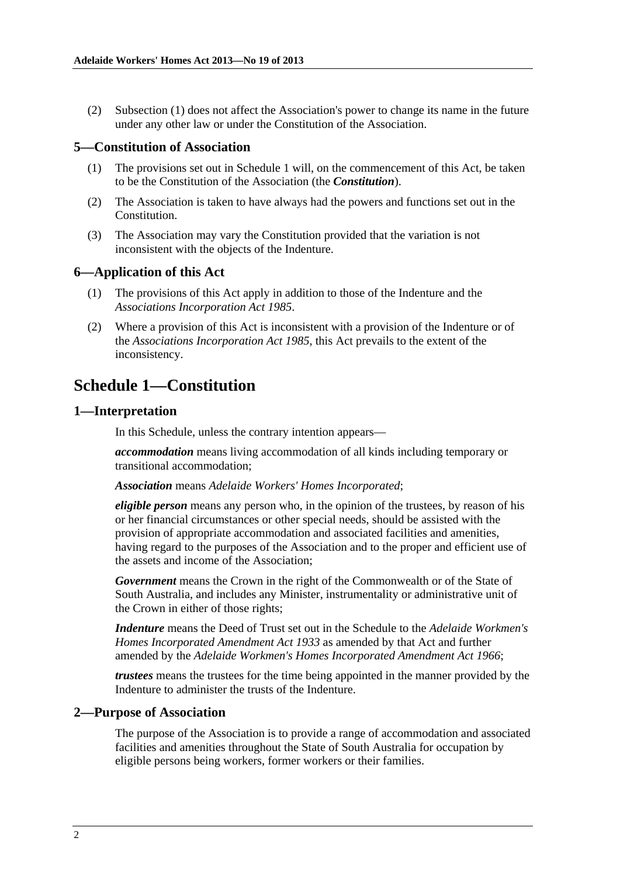<span id="page-1-0"></span> (2) [Subsection \(1\)](#page-0-0) does not affect the Association's power to change its name in the future under any other law or under the Constitution of the Association.

#### **5—Constitution of Association**

- (1) The provisions set out in [Schedule 1](#page-1-0) will, on the commencement of this Act, be taken to be the Constitution of the Association (the *Constitution*).
- (2) The Association is taken to have always had the powers and functions set out in the Constitution.
- (3) The Association may vary the Constitution provided that the variation is not inconsistent with the objects of the Indenture.

### **6—Application of this Act**

- (1) The provisions of this Act apply in addition to those of the Indenture and the *[Associations Incorporation Act 1985](http://www.legislation.sa.gov.au/index.aspx?action=legref&type=act&legtitle=Associations%20Incorporation%20Act%201985)*.
- (2) Where a provision of this Act is inconsistent with a provision of the Indenture or of the *[Associations Incorporation Act 1985](http://www.legislation.sa.gov.au/index.aspx?action=legref&type=act&legtitle=Associations%20Incorporation%20Act%201985)*, this Act prevails to the extent of the inconsistency.

# **Schedule 1—Constitution**

#### **1—Interpretation**

In this Schedule, unless the contrary intention appears—

*accommodation* means living accommodation of all kinds including temporary or transitional accommodation;

#### *Association* means *Adelaide Workers' Homes Incorporated*;

*eligible person* means any person who, in the opinion of the trustees, by reason of his or her financial circumstances or other special needs, should be assisted with the provision of appropriate accommodation and associated facilities and amenities, having regard to the purposes of the Association and to the proper and efficient use of the assets and income of the Association;

*Government* means the Crown in the right of the Commonwealth or of the State of South Australia, and includes any Minister, instrumentality or administrative unit of the Crown in either of those rights;

*Indenture* means the Deed of Trust set out in the Schedule to the *[Adelaide Workmen's](http://www.legislation.sa.gov.au/index.aspx?action=legref&type=act&legtitle=Adelaide%20Workmens%20Homes%20Incorporated%20Amendment%20Act%201933)  [Homes Incorporated Amendment Act 1933](http://www.legislation.sa.gov.au/index.aspx?action=legref&type=act&legtitle=Adelaide%20Workmens%20Homes%20Incorporated%20Amendment%20Act%201933)* as amended by that Act and further amended by the *[Adelaide Workmen's Homes Incorporated Amendment Act 1966](http://www.legislation.sa.gov.au/index.aspx?action=legref&type=act&legtitle=Adelaide%20Workmens%20Homes%20Incorporated%20Amendment%20Act%201966)*;

*trustees* means the trustees for the time being appointed in the manner provided by the Indenture to administer the trusts of the Indenture.

#### **2—Purpose of Association**

The purpose of the Association is to provide a range of accommodation and associated facilities and amenities throughout the State of South Australia for occupation by eligible persons being workers, former workers or their families.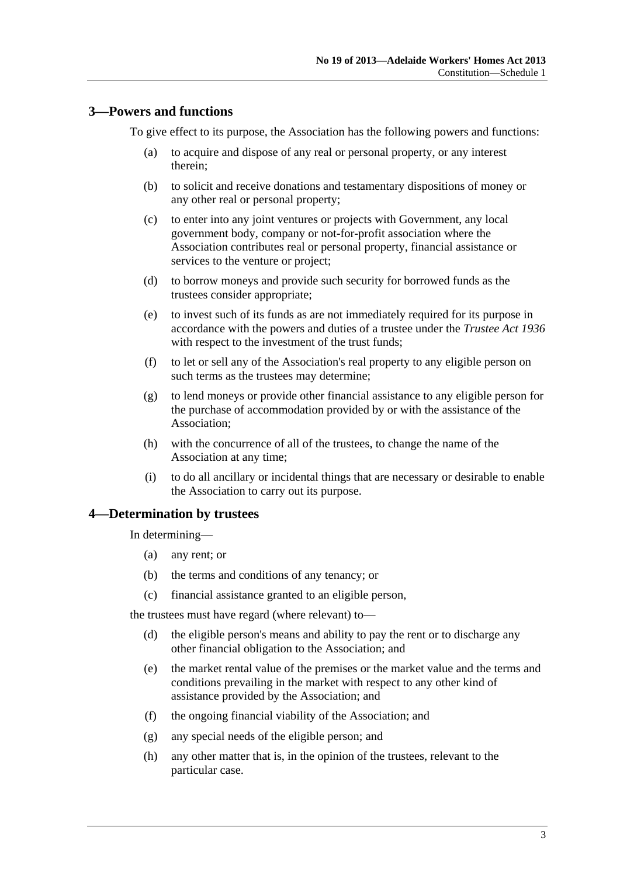# <span id="page-2-0"></span>**3—Powers and functions**

To give effect to its purpose, the Association has the following powers and functions:

- (a) to acquire and dispose of any real or personal property, or any interest therein;
- (b) to solicit and receive donations and testamentary dispositions of money or any other real or personal property;
- (c) to enter into any joint ventures or projects with Government, any local government body, company or not-for-profit association where the Association contributes real or personal property, financial assistance or services to the venture or project;
- (d) to borrow moneys and provide such security for borrowed funds as the trustees consider appropriate;
- (e) to invest such of its funds as are not immediately required for its purpose in accordance with the powers and duties of a trustee under the *[Trustee Act 1936](http://www.legislation.sa.gov.au/index.aspx?action=legref&type=act&legtitle=Trustee%20Act%201936)* with respect to the investment of the trust funds;
- (f) to let or sell any of the Association's real property to any eligible person on such terms as the trustees may determine;
- (g) to lend moneys or provide other financial assistance to any eligible person for the purchase of accommodation provided by or with the assistance of the Association;
- (h) with the concurrence of all of the trustees, to change the name of the Association at any time;
- (i) to do all ancillary or incidental things that are necessary or desirable to enable the Association to carry out its purpose.

#### **4—Determination by trustees**

In determining—

- (a) any rent; or
- (b) the terms and conditions of any tenancy; or
- (c) financial assistance granted to an eligible person,

the trustees must have regard (where relevant) to—

- (d) the eligible person's means and ability to pay the rent or to discharge any other financial obligation to the Association; and
- (e) the market rental value of the premises or the market value and the terms and conditions prevailing in the market with respect to any other kind of assistance provided by the Association; and
- (f) the ongoing financial viability of the Association; and
- (g) any special needs of the eligible person; and
- (h) any other matter that is, in the opinion of the trustees, relevant to the particular case.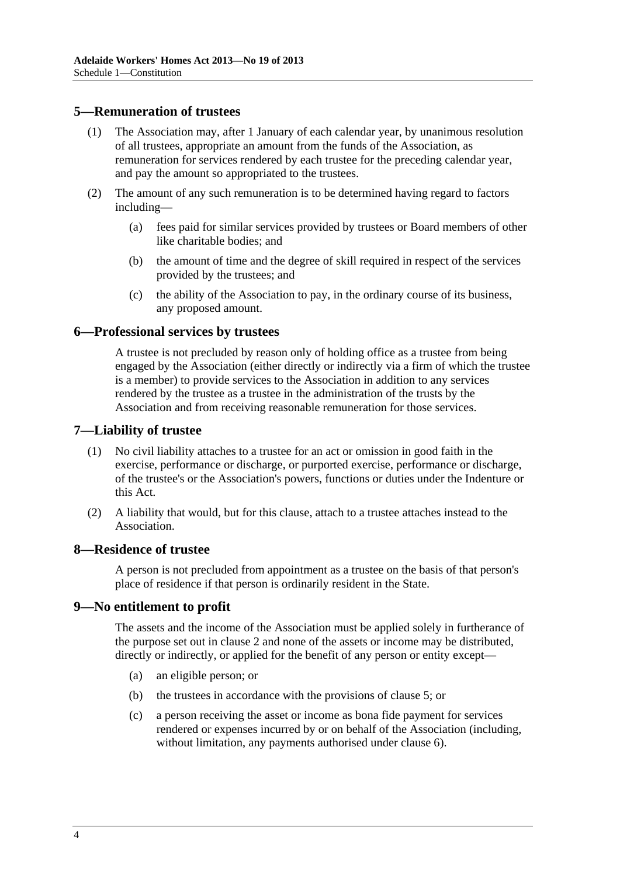## <span id="page-3-0"></span>**5—Remuneration of trustees**

- (1) The Association may, after 1 January of each calendar year, by unanimous resolution of all trustees, appropriate an amount from the funds of the Association, as remuneration for services rendered by each trustee for the preceding calendar year, and pay the amount so appropriated to the trustees.
- (2) The amount of any such remuneration is to be determined having regard to factors including—
	- (a) fees paid for similar services provided by trustees or Board members of other like charitable bodies; and
	- (b) the amount of time and the degree of skill required in respect of the services provided by the trustees; and
	- (c) the ability of the Association to pay, in the ordinary course of its business, any proposed amount.

# **6—Professional services by trustees**

A trustee is not precluded by reason only of holding office as a trustee from being engaged by the Association (either directly or indirectly via a firm of which the trustee is a member) to provide services to the Association in addition to any services rendered by the trustee as a trustee in the administration of the trusts by the Association and from receiving reasonable remuneration for those services.

#### **7—Liability of trustee**

- (1) No civil liability attaches to a trustee for an act or omission in good faith in the exercise, performance or discharge, or purported exercise, performance or discharge, of the trustee's or the Association's powers, functions or duties under the Indenture or this Act.
- (2) A liability that would, but for this clause, attach to a trustee attaches instead to the Association.

#### **8—Residence of trustee**

A person is not precluded from appointment as a trustee on the basis of that person's place of residence if that person is ordinarily resident in the State.

#### **9—No entitlement to profit**

The assets and the income of the Association must be applied solely in furtherance of the purpose set out in [clause 2](#page-1-0) and none of the assets or income may be distributed, directly or indirectly, or applied for the benefit of any person or entity except—

- (a) an eligible person; or
- (b) the trustees in accordance with the provisions of [clause 5;](#page-3-0) or
- (c) a person receiving the asset or income as bona fide payment for services rendered or expenses incurred by or on behalf of the Association (including, without limitation, any payments authorised under [clause 6\)](#page-3-0).